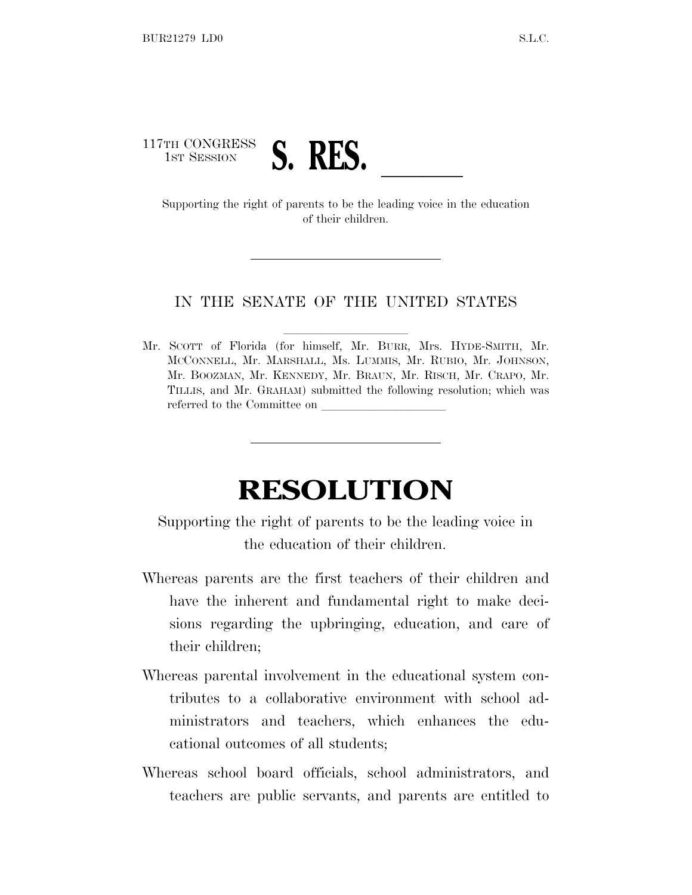## 117TH CONGRESS TH CONGRESS **S. RES.**<br>Supporting the right of parents to be the leading voice in the education

of their children.

## IN THE SENATE OF THE UNITED STATES

Mr. SCOTT of Florida (for himself, Mr. BURR, Mrs. HYDE-SMITH, Mr. MCCONNELL, Mr. MARSHALL, Ms. LUMMIS, Mr. RUBIO, Mr. JOHNSON, Mr. BOOZMAN, Mr. KENNEDY, Mr. BRAUN, Mr. RISCH, Mr. CRAPO, Mr. TILLIS, and Mr. GRAHAM) submitted the following resolution; which was referred to the Committee on

## **RESOLUTION**

Supporting the right of parents to be the leading voice in the education of their children.

- Whereas parents are the first teachers of their children and have the inherent and fundamental right to make decisions regarding the upbringing, education, and care of their children;
- Whereas parental involvement in the educational system contributes to a collaborative environment with school administrators and teachers, which enhances the educational outcomes of all students;
- Whereas school board officials, school administrators, and teachers are public servants, and parents are entitled to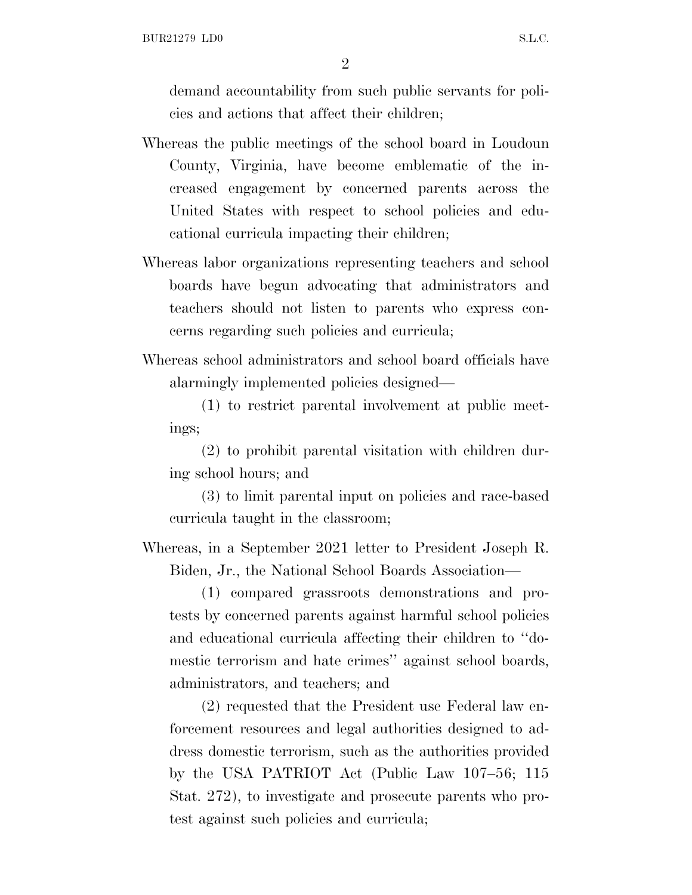2

demand accountability from such public servants for policies and actions that affect their children;

- Whereas the public meetings of the school board in Loudoun County, Virginia, have become emblematic of the increased engagement by concerned parents across the United States with respect to school policies and educational curricula impacting their children;
- Whereas labor organizations representing teachers and school boards have begun advocating that administrators and teachers should not listen to parents who express concerns regarding such policies and curricula;
- Whereas school administrators and school board officials have alarmingly implemented policies designed—

(1) to restrict parental involvement at public meetings;

(2) to prohibit parental visitation with children during school hours; and

(3) to limit parental input on policies and race-based curricula taught in the classroom;

Whereas, in a September 2021 letter to President Joseph R. Biden, Jr., the National School Boards Association—

(1) compared grassroots demonstrations and protests by concerned parents against harmful school policies and educational curricula affecting their children to ''domestic terrorism and hate crimes'' against school boards, administrators, and teachers; and

(2) requested that the President use Federal law enforcement resources and legal authorities designed to address domestic terrorism, such as the authorities provided by the USA PATRIOT Act (Public Law 107–56; 115 Stat. 272), to investigate and prosecute parents who protest against such policies and curricula;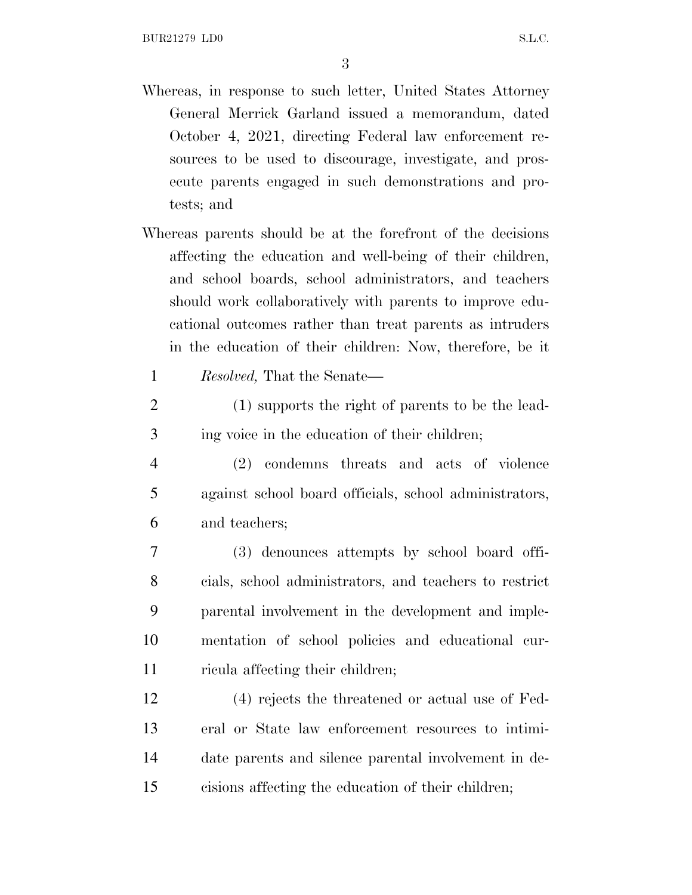3

- Whereas, in response to such letter, United States Attorney General Merrick Garland issued a memorandum, dated October 4, 2021, directing Federal law enforcement resources to be used to discourage, investigate, and prosecute parents engaged in such demonstrations and protests; and
- Whereas parents should be at the forefront of the decisions affecting the education and well-being of their children, and school boards, school administrators, and teachers should work collaboratively with parents to improve educational outcomes rather than treat parents as intruders in the education of their children: Now, therefore, be it

1 *Resolved,* That the Senate—

- 2 (1) supports the right of parents to be the lead-3 ing voice in the education of their children;
- 4 (2) condemns threats and acts of violence 5 against school board officials, school administrators, 6 and teachers;
- 7 (3) denounces attempts by school board offi-8 cials, school administrators, and teachers to restrict 9 parental involvement in the development and imple-10 mentation of school policies and educational cur-11 ricula affecting their children;
- 12 (4) rejects the threatened or actual use of Fed-13 eral or State law enforcement resources to intimi-14 date parents and silence parental involvement in de-15 cisions affecting the education of their children;